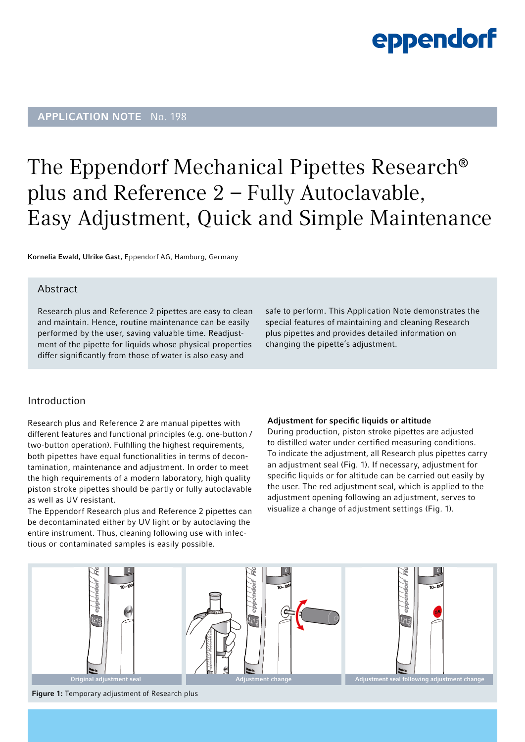### APPLICATION NOTE No. 198

### The Eppendorf Mechanical Pipettes Research® plus and Reference 2 – Fully Autoclavable, Easy Adjustment, Quick and Simple Maintenance

Kornelia Ewald, Ulrike Gast, Eppendorf AG, Hamburg, Germany

### Abstract

Research plus and Reference 2 pipettes are easy to clean and maintain. Hence, routine maintenance can be easily performed by the user, saving valuable time. Readjustment of the pipette for liquids whose physical properties differ significantly from those of water is also easy and

safe to perform. This Application Note demonstrates the special features of maintaining and cleaning Research plus pipettes and provides detailed information on changing the pipette's adjustment.

### Introduction

Research plus and Reference 2 are manual pipettes with different features and functional principles (e.g. one-button / two-button operation). Fulfilling the highest requirements, both pipettes have equal functionalities in terms of decontamination, maintenance and adjustment. In order to meet the high requirements of a modern laboratory, high quality piston stroke pipettes should be partly or fully autoclavable as well as UV resistant.

The Eppendorf Research plus and Reference 2 pipettes can be decontaminated either by UV light or by autoclaving the entire instrument. Thus, cleaning following use with infectious or contaminated samples is easily possible.

#### Adjustment for specific liquids or altitude

During production, piston stroke pipettes are adjusted to distilled water under certified measuring conditions. To indicate the adjustment, all Research plus pipettes carry an adjustment seal (Fig. 1). If necessary, adjustment for specific liquids or for altitude can be carried out easily by the user. The red adjustment seal, which is applied to the adjustment opening following an adjustment, serves to visualize a change of adjustment settings (Fig. 1).



Figure 1: Temporary adjustment of Research plus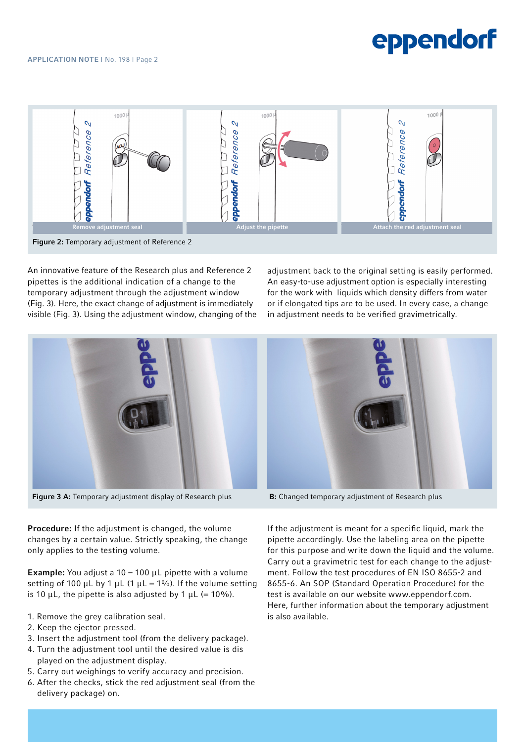

An innovative feature of the Research plus and Reference 2 pipettes is the additional indication of a change to the temporary adjustment through the adjustment window (Fig. 3). Here, the exact change of adjustment is immediately visible (Fig. 3). Using the adjustment window, changing of the

adjustment back to the original setting is easily performed. An easy-to-use adjustment option is especially interesting for the work with liquids which density differs from water or if elongated tips are to be used. In every case, a change in adjustment needs to be verified gravimetrically.



Figure 3 A: Temporary adjustment display of Research plus B: Changed temporary adjustment of Research plus

Procedure: If the adjustment is changed, the volume changes by a certain value. Strictly speaking, the change only applies to the testing volume.

**Example:** You adjust a  $10 - 100$   $\mu$ L pipette with a volume setting of 100 μL by 1 μL (1 μL = 1%). If the volume setting is 10  $\mu$ L, the pipette is also adjusted by 1  $\mu$ L (= 10%).

- 1. Remove the grey calibration seal.
- 2. Keep the ejector pressed.
- 3. Insert the adjustment tool (from the delivery package).
- 4. Turn the adjustment tool until the desired value is dis played on the adjustment display.
- 5. Carry out weighings to verify accuracy and precision.
- 6. After the checks, stick the red adjustment seal (from the delivery package) on.



If the adjustment is meant for a specific liquid, mark the pipette accordingly. Use the labeling area on the pipette for this purpose and write down the liquid and the volume. Carry out a gravimetric test for each change to the adjustment. Follow the test procedures of EN ISO 8655-2 and 8655-6. An SOP (Standard Operation Procedure) for the test is available on our website www.eppendorf.com. Here, further information about the temporary adjustment is also available.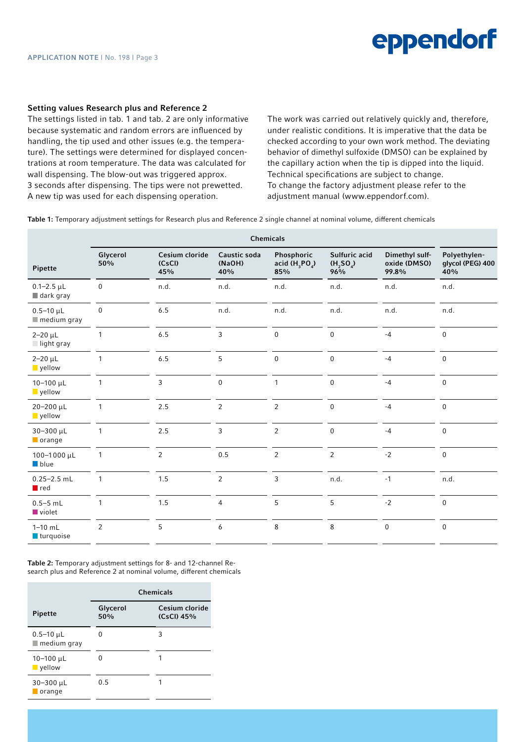#### Setting values Research plus and Reference 2

The settings listed in tab. 1 and tab. 2 are only informative because systematic and random errors are influenced by handling, the tip used and other issues (e.g. the temperature). The settings were determined for displayed concentrations at room temperature. The data was calculated for wall dispensing. The blow-out was triggered approx. 3 seconds after dispensing. The tips were not prewetted. A new tip was used for each dispensing operation.

The work was carried out relatively quickly and, therefore, under realistic conditions. It is imperative that the data be checked according to your own work method. The deviating behavior of dimethyl sulfoxide (DMSO) can be explained by the capillary action when the tip is dipped into the liquid. Technical specifications are subject to change. To change the factory adjustment please refer to the adjustment manual (www.eppendorf.com).

Table 1: Temporary adjustment settings for Research plus and Reference 2 single channel at nominal volume, different chemicals

| Chemicals                                      |                 |                                 |                               |                                       |                                    |                                         |                                         |  |
|------------------------------------------------|-----------------|---------------------------------|-------------------------------|---------------------------------------|------------------------------------|-----------------------------------------|-----------------------------------------|--|
| Pipette                                        | Glycerol<br>50% | Cesium cloride<br>(CsCl)<br>45% | Caustic soda<br>(NaOH)<br>40% | Phosphoric<br>acid $(H_3PO_4)$<br>85% | Sulfuric acid<br>(H, SO)<br>$96\%$ | Dimethyl sulf-<br>oxide (DMSO)<br>99.8% | Polyethylen-<br>glycol (PEG) 400<br>40% |  |
| $0.1 - 2.5$ µL<br>$\blacksquare$ dark gray     | $\mathbf 0$     | n.d.                            | n.d.                          | n.d.                                  | n.d.                               | n.d.                                    | n.d.                                    |  |
| $0.5 - 10 \mu L$<br>$\blacksquare$ medium gray | $\Omega$        | $6.5\,$                         | n.d.                          | n.d.                                  | n.d.                               | n.d.                                    | n.d.                                    |  |
| $2 - 20 \mu L$<br>$\Box$ light gray            | $\mathbf{1}$    | 6.5                             | 3                             | $\mathbf{0}$                          | $\mathbf 0$                        | $-4$                                    | $\pmb{0}$                               |  |
| $2 - 20 \mu L$<br>vellow                       | $\mathbf{1}$    | 6.5                             | 5                             | $\mathbf{0}$                          | $\mathbf 0$                        | $-4$                                    | $\pmb{0}$                               |  |
| $10 - 100 \mu L$<br>vellow                     | $\mathbf{1}$    | $\mathbf{3}$                    | $\mathbf{0}$                  | $\mathbf{1}$                          | $\mathbf 0$                        | $-4$                                    | $\pmb{0}$                               |  |
| 20-200 µL<br><b>yellow</b>                     | $\mathbf{1}$    | $2.5$                           | $\overline{2}$                | $\overline{2}$                        | $\mathbf 0$                        | $-4$                                    | $\pmb{0}$                               |  |
| 30-300 µL<br><b>O</b> range                    | 1               | 2.5                             | 3                             | $\overline{2}$                        | $\boldsymbol{0}$                   | $-4$                                    | $\mathbf 0$                             |  |
| 100-1000 μL<br>$\blacksquare$ blue             | 1               | $\overline{2}$                  | 0.5                           | $\overline{2}$                        | $\overline{2}$                     | $-2$                                    | $\mathbf 0$                             |  |
| $0.25 - 2.5$ mL<br>$\blacksquare$ red          | $\mathbf{1}$    | 1.5                             | $\overline{2}$                | 3                                     | n.d.                               | $-1$                                    | n.d.                                    |  |
| $0.5 - 5$ mL<br>$\blacksquare$ violet          | 1               | 1.5                             | $\overline{4}$                | 5                                     | 5                                  | $-2$                                    | $\pmb{0}$                               |  |
| $1 - 10$ mL<br><b>turquoise</b>                | $\overline{2}$  | 5                               | 6                             | 8                                     | 8                                  | $\mathbf 0$                             | $\pmb{0}$                               |  |

Table 2: Temporary adjustment settings for 8- and 12-channel Research plus and Reference 2 at nominal volume, different chemicals

|                                                | <b>Chemicals</b> |                              |  |  |  |
|------------------------------------------------|------------------|------------------------------|--|--|--|
| <b>Pipette</b>                                 | Glycerol<br>50%  | Cesium cloride<br>(CsCI) 45% |  |  |  |
| $0.5 - 10 \mu L$<br>$\blacksquare$ medium gray | n                | 3                            |  |  |  |
| $10 - 100 \mu L$<br>vellow                     |                  |                              |  |  |  |
| $30 - 300 \mu L$<br>orange                     | 0.5              |                              |  |  |  |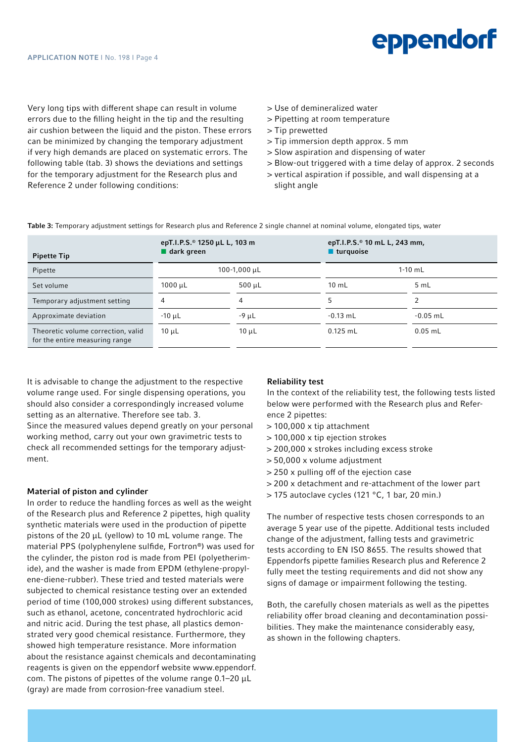Very long tips with different shape can result in volume errors due to the filling height in the tip and the resulting air cushion between the liquid and the piston. These errors can be minimized by changing the temporary adjustment if very high demands are placed on systematic errors. The following table (tab. 3) shows the deviations and settings for the temporary adjustment for the Research plus and Reference 2 under following conditions:

- > Use of demineralized water
- > Pipetting at room temperature
- > Tip prewetted
- > Tip immersion depth approx. 5 mm
- > Slow aspiration and dispensing of water
- > Blow-out triggered with a time delay of approx. 2 seconds
- > vertical aspiration if possible, and wall dispensing at a slight angle

Table 3: Temporary adjustment settings for Research plus and Reference 2 single channel at nominal volume, elongated tips, water

| <b>Pipette Tip</b>                                                   | epT.I.P.S. <sup>®</sup> 1250 μL L, 103 m<br>$\blacksquare$ dark green |              | epT.I.P.S. <sup>®</sup> 10 mL L, 243 mm,<br>■ turquoise |            |  |
|----------------------------------------------------------------------|-----------------------------------------------------------------------|--------------|---------------------------------------------------------|------------|--|
| Pipette                                                              | 100-1,000 µL                                                          |              | $1-10$ mL                                               |            |  |
| Set volume                                                           | 1000 µL                                                               | $500 \mu L$  | $10 \text{ mL}$                                         | 5 mL       |  |
| Temporary adjustment setting                                         | 4                                                                     | 4            |                                                         |            |  |
| Approximate deviation                                                | $-10$ $\mu$ L                                                         | $-9$ $\mu$ L | $-0.13$ mL                                              | $-0.05$ mL |  |
| Theoretic volume correction, valid<br>for the entire measuring range | $10 \mu L$                                                            | $10 \mu L$   | $0.125$ mL                                              | $0.05$ mL  |  |

It is advisable to change the adjustment to the respective volume range used. For single dispensing operations, you should also consider a correspondingly increased volume setting as an alternative. Therefore see tab. 3.

Since the measured values depend greatly on your personal working method, carry out your own gravimetric tests to check all recommended settings for the temporary adjustment.

#### Material of piston and cylinder

In order to reduce the handling forces as well as the weight of the Research plus and Reference 2 pipettes, high quality synthetic materials were used in the production of pipette pistons of the 20 μL (yellow) to 10 mL volume range. The material PPS (polyphenylene sulfide, Fortron®) was used for the cylinder, the piston rod is made from PEI (polyetherimide), and the washer is made from EPDM (ethylene-propylene-diene-rubber). These tried and tested materials were subjected to chemical resistance testing over an extended period of time (100,000 strokes) using different substances, such as ethanol, acetone, concentrated hydrochloric acid and nitric acid. During the test phase, all plastics demonstrated very good chemical resistance. Furthermore, they showed high temperature resistance. More information about the resistance against chemicals and decontaminating reagents is given on the eppendorf website www.eppendorf. com. The pistons of pipettes of the volume range 0.1–20 μL (gray) are made from corrosion-free vanadium steel.

#### Reliability test

In the context of the reliability test, the following tests listed below were performed with the Research plus and Reference 2 pipettes:

- > 100,000 x tip attachment
- > 100,000 x tip ejection strokes
- > 200,000 x strokes including excess stroke
- > 50,000 x volume adjustment
- > 250 x pulling off of the ejection case
- > 200 x detachment and re-attachment of the lower part
- > 175 autoclave cycles (121 °C, 1 bar, 20 min.)

The number of respective tests chosen corresponds to an average 5 year use of the pipette. Additional tests included change of the adjustment, falling tests and gravimetric tests according to EN ISO 8655. The results showed that Eppendorfs pipette families Research plus and Reference 2 fully meet the testing requirements and did not show any signs of damage or impairment following the testing.

Both, the carefully chosen materials as well as the pipettes reliability offer broad cleaning and decontamination possibilities. They make the maintenance considerably easy, as shown in the following chapters.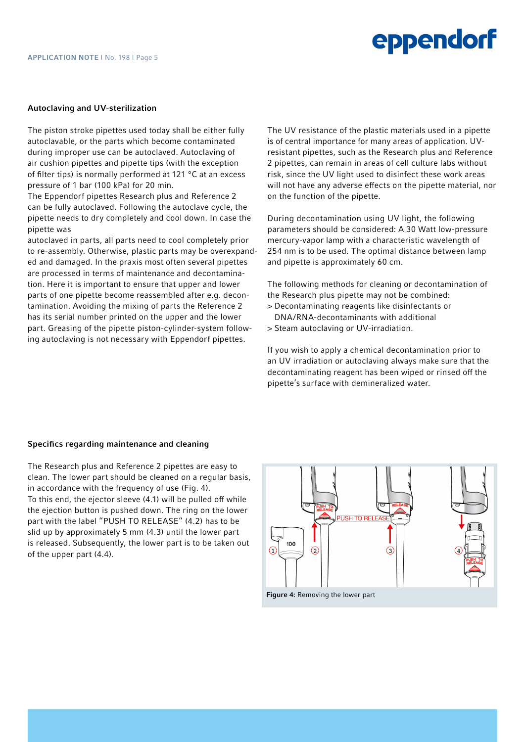#### Autoclaving and UV-sterilization

The piston stroke pipettes used today shall be either fully autoclavable, or the parts which become contaminated during improper use can be autoclaved. Autoclaving of air cushion pipettes and pipette tips (with the exception of filter tips) is normally performed at 121  $\degree$ C at an excess pressure of 1 bar (100 kPa) for 20 min.

The Eppendorf pipettes Research plus and Reference 2 can be fully autoclaved. Following the autoclave cycle, the pipette needs to dry completely and cool down. In case the pipette was

autoclaved in parts, all parts need to cool completely prior to re-assembly. Otherwise, plastic parts may be overexpanded and damaged. In the praxis most often several pipettes are processed in terms of maintenance and decontamination. Here it is important to ensure that upper and lower parts of one pipette become reassembled after e.g. decontamination. Avoiding the mixing of parts the Reference 2 has its serial number printed on the upper and the lower part. Greasing of the pipette piston-cylinder-system following autoclaving is not necessary with Eppendorf pipettes.

The UV resistance of the plastic materials used in a pipette is of central importance for many areas of application. UVresistant pipettes, such as the Research plus and Reference 2 pipettes, can remain in areas of cell culture labs without risk, since the UV light used to disinfect these work areas will not have any adverse effects on the pipette material, nor on the function of the pipette.

During decontamination using UV light, the following parameters should be considered: A 30 Watt low-pressure mercury-vapor lamp with a characteristic wavelength of 254 nm is to be used. The optimal distance between lamp and pipette is approximately 60 cm.

The following methods for cleaning or decontamination of the Research plus pipette may not be combined:

- > Decontaminating reagents like disinfectants or DNA/RNA-decontaminants with additional
- > Steam autoclaving or UV-irradiation.

If you wish to apply a chemical decontamination prior to an UV irradiation or autoclaving always make sure that the decontaminating reagent has been wiped or rinsed off the pipette's surface with demineralized water.

#### Specifics regarding maintenance and cleaning

The Research plus and Reference 2 pipettes are easy to clean. The lower part should be cleaned on a regular basis, in accordance with the frequency of use (Fig. 4). To this end, the ejector sleeve (4.1) will be pulled off while the ejection button is pushed down. The ring on the lower part with the label "PUSH TO RELEASE" (4.2) has to be slid up by approximately 5 mm (4.3) until the lower part is released. Subsequently, the lower part is to be taken out of the upper part (4.4).

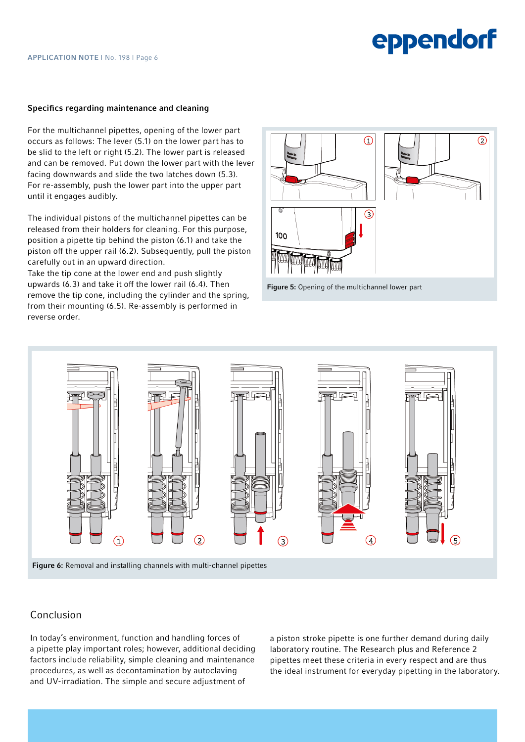#### Specifics regarding maintenance and cleaning

For the multichannel pipettes, opening of the lower part occurs as follows: The lever (5.1) on the lower part has to be slid to the left or right (5.2). The lower part is released and can be removed. Put down the lower part with the lever facing downwards and slide the two latches down (5.3). For re-assembly, push the lower part into the upper part until it engages audibly.

The individual pistons of the multichannel pipettes can be released from their holders for cleaning. For this purpose, position a pipette tip behind the piston (6.1) and take the piston off the upper rail (6.2). Subsequently, pull the piston carefully out in an upward direction.

Take the tip cone at the lower end and push slightly upwards (6.3) and take it off the lower rail (6.4). Then remove the tip cone, including the cylinder and the spring, from their mounting (6.5). Re-assembly is performed in reverse order.







Figure 6: Removal and installing channels with multi-channel pipettes

### Conclusion

In today's environment, function and handling forces of a pipette play important roles; however, additional deciding factors include reliability, simple cleaning and maintenance procedures, as well as decontamination by autoclaving and UV-irradiation. The simple and secure adjustment of

a piston stroke pipette is one further demand during daily laboratory routine. The Research plus and Reference 2 pipettes meet these criteria in every respect and are thus the ideal instrument for everyday pipetting in the laboratory.